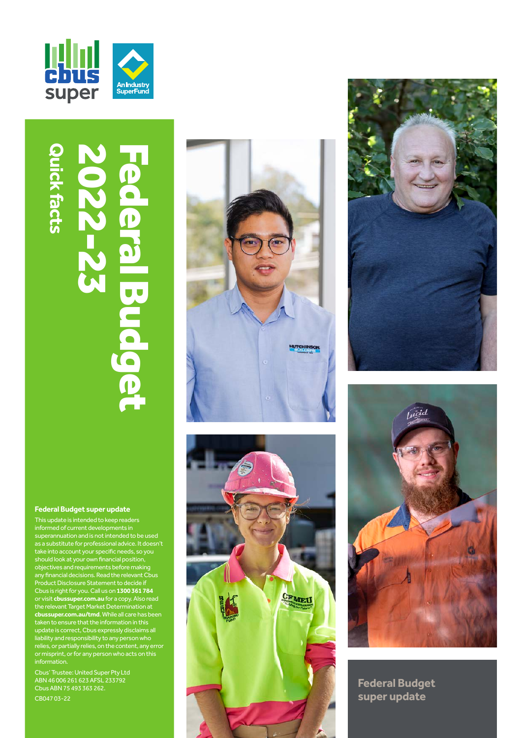

# **Quick facts** 2022-2022-23 Quick facts Federal Budget  $\mathbf{p}$  $\overline{\bullet}$ al Buda Q

#### **Federal Budget super update**

This update is intended to keep readers informed of current developments in superannuation and is not intended to be used as a substitute for professional advice. It doesn't take into account your specific needs, so you should look at your own financial position, objectives and requirements before making any financial decisions. Read the relevant Cbus Product Disclosure Statement to decide if Cbus is right for you. Call us on **1300 361 784**  or visit **[cbussuper.com.au](https://www.cbussuper.com.au)** for a copy. Also read the relevant Target Market Determination at **[cbussuper.com.au/tmd](https://www.cbussuper.com.au/tmd)**. While all care has been taken to ensure that the information in this update is correct, Cbus expressly disclaims all liability and responsibility to any person who relies, or partially relies, on the content, any error or misprint, or for any person who acts on this information.

Cbus' Trustee: United Super Pty Ltd ABN 46 006 261 623 AFSL 233792 Cbus ABN 75 493 363 262.

CB047 03-22









**Federal Budget super update**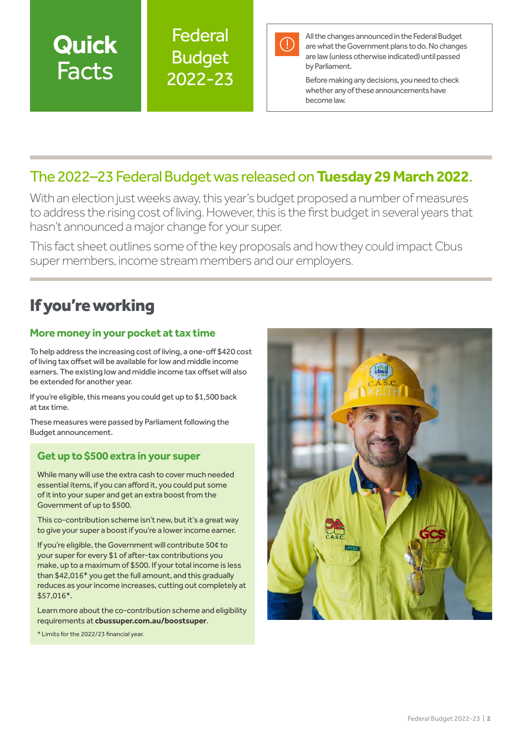## **Quick** Facts

Federal Budget 2022-23



All the changes announced in the Federal Budget are what the Government plans to do. No changes are law (unless otherwise indicated) until passed by Parliament.

Before making any decisions, you need to check whether any of these announcements have become law.

### The 2022–23 Federal Budget was released on **Tuesday 29 March 2022**.

With an election just weeks away, this year's budget proposed a number of measures to address the rising cost of living. However, this is the first budget in several years that hasn't announced a major change for your super.

This fact sheet outlines some of the key proposals and how they could impact Cbus super members, income stream members and our employers.

## If you're working

### **More money in your pocket at tax time**

To help address the increasing cost of living, a one-off \$420 cost of living tax offset will be available for low and middle income earners. The existing low and middle income tax offset will also be extended for another year.

If you're eligible, this means you could get up to \$1,500 back at tax time.

These measures were passed by Parliament following the Budget announcement.

#### **Get up to \$500 extra in your super**

While many will use the extra cash to cover much needed essential items, if you can afford it, you could put some of it into your super and get an extra boost from the Government of up to \$500.

This co-contribution scheme isn't new, but it's a great way to give your super a boost if you're a lower income earner.

If you're eligible, the Government will contribute 50¢ to your super for every \$1 of after-tax contributions you make, up to a maximum of \$500. If your total income is less than \$42,016\* you get the full amount, and this gradually reduces as your income increases, cutting out completely at \$57,016\*.

Learn more about the co-contribution scheme and eligibility requirements at **[cbussuper.com.au/boostsuper](https://www.cbussuper.com.au/boostsuper)**.

\* Limits for the 2022/23 financial year.

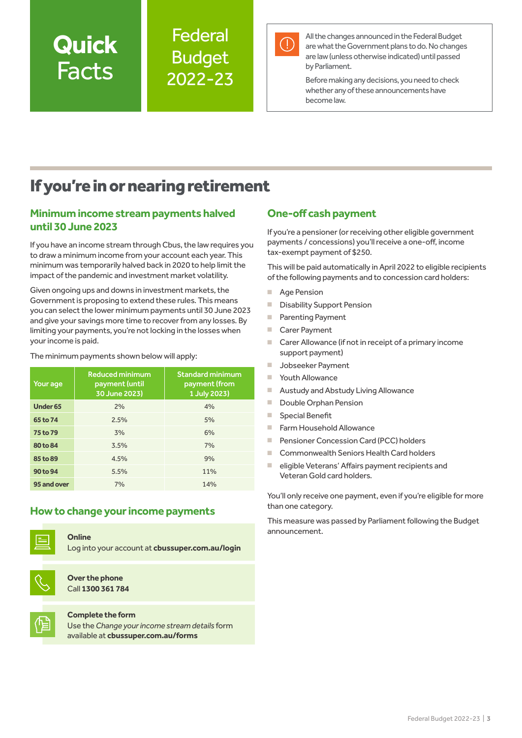# **Quick** Facts

### **Federal** Budget 2022-23



All the changes announced in the Federal Budget are what the Government plans to do. No changes are law (unless otherwise indicated) until passed by Parliament.

Before making any decisions, you need to check whether any of these announcements have become law.

## If you're in or nearing retirement

#### **Minimum income stream payments halved until 30 June 2023**

If you have an income stream through Cbus, the law requires you to draw a minimum income from your account each year. This minimum was temporarily halved back in 2020 to help limit the impact of the pandemic and investment market volatility.

Given ongoing ups and downs in investment markets, the Government is proposing to extend these rules. This means you can select the lower minimum payments until 30 June 2023 and give your savings more time to recover from any losses. By limiting your payments, you're not locking in the losses when your income is paid.

The minimum payments shown below will apply:

| Your age            | <b>Reduced minimum</b><br>payment (until<br>30 June 2023) | <b>Standard minimum</b><br>payment (from<br>1 July 2023) |
|---------------------|-----------------------------------------------------------|----------------------------------------------------------|
| Under <sub>65</sub> | 2%                                                        | 4%                                                       |
| 65 to 74            | 2.5%                                                      | 5%                                                       |
| 75 to 79            | 3%                                                        | 6%                                                       |
| 80 to 84            | 3.5%                                                      | 7%                                                       |
| 85 to 89            | 4.5%                                                      | 9%                                                       |
| 90 to 94            | 5.5%                                                      | 11%                                                      |
| 95 and over         | 7%                                                        | 14%                                                      |

#### **How to change your income payments**



**Online**

Log into your account at **[cbussuper.com.au/login](https://www.cbussuper.com.au/login)**



**Over the phone** Call **1300 361 784**

#### **Complete the form**

Use the *Change your income stream details* form available at **[cbussuper.com.au/form](https://www.cbussuper.com.au/forms)s**

#### **One-off cash payment**

If you're a pensioner (or receiving other eligible government payments / concessions) you'll receive a one-off, income tax-exempt payment of \$250.

This will be paid automatically in April 2022 to eligible recipients of the following payments and to concession card holders:

- Age Pension
- Disability Support Pension
- Parenting Payment
- Carer Pavment
- Carer Allowance (if not in receipt of a primary income support payment)
- Jobseeker Payment
- Youth Allowance
- Austudy and Abstudy Living Allowance
- Double Orphan Pension
- Special Benefit
- Farm Household Allowance
- Pensioner Concession Card (PCC) holders
- Commonwealth Seniors Health Card holders
- eligible Veterans' Affairs payment recipients and Veteran Gold card holders.

You'll only receive one payment, even if you're eligible for more than one category.

This measure was passed by Parliament following the Budget announcement.